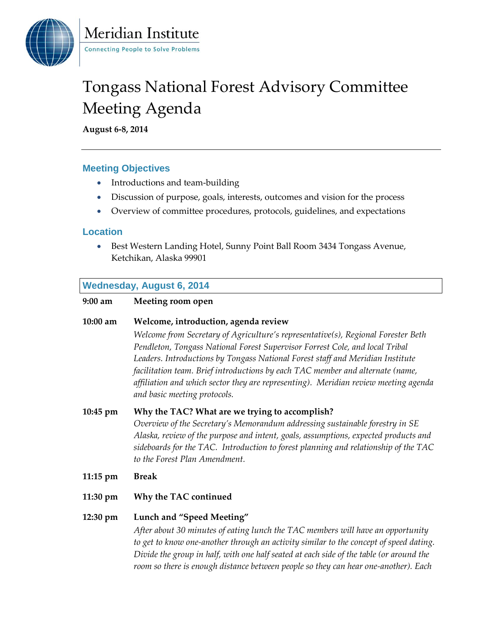

Meridian Institute **Connecting People to Solve Problems** 

# Tongass National Forest Advisory Committee Meeting Agenda

**August 6-8, 2014**

# **Meeting Objectives**

- Introductions and team-building
- Discussion of purpose, goals, interests, outcomes and vision for the process
- Overview of committee procedures, protocols, guidelines, and expectations

## **Location**

 Best Western Landing Hotel, Sunny Point Ball Room 3434 Tongass Avenue, Ketchikan, Alaska 99901

# **Wednesday, August 6, 2014**

| Meeting room open                                                                                                                                                                                                                                                                                                                                                                                                                                                                                    |
|------------------------------------------------------------------------------------------------------------------------------------------------------------------------------------------------------------------------------------------------------------------------------------------------------------------------------------------------------------------------------------------------------------------------------------------------------------------------------------------------------|
| Welcome, introduction, agenda review<br>Welcome from Secretary of Agriculture's representative(s), Regional Forester Beth<br>Pendleton, Tongass National Forest Supervisor Forrest Cole, and local Tribal<br>Leaders. Introductions by Tongass National Forest staff and Meridian Institute<br>facilitation team. Brief introductions by each TAC member and alternate (name,<br>affiliation and which sector they are representing). Meridian review meeting agenda<br>and basic meeting protocols. |
| Why the TAC? What are we trying to accomplish?<br>Overview of the Secretary's Memorandum addressing sustainable forestry in SE<br>Alaska, review of the purpose and intent, goals, assumptions, expected products and<br>sideboards for the TAC. Introduction to forest planning and relationship of the TAC<br>to the Forest Plan Amendment.                                                                                                                                                        |
| <b>Break</b>                                                                                                                                                                                                                                                                                                                                                                                                                                                                                         |
| Why the TAC continued                                                                                                                                                                                                                                                                                                                                                                                                                                                                                |
| Lunch and "Speed Meeting"<br>After about 30 minutes of eating lunch the TAC members will have an opportunity<br>to get to know one-another through an activity similar to the concept of speed dating.<br>Divide the group in half, with one half seated at each side of the table (or around the<br>room so there is enough distance between people so they can hear one-another). Each                                                                                                             |
|                                                                                                                                                                                                                                                                                                                                                                                                                                                                                                      |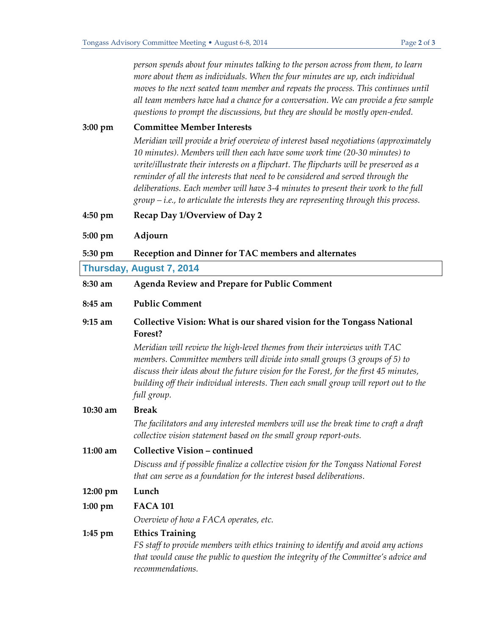*person spends about four minutes talking to the person across from them, to learn more about them as individuals. When the four minutes are up, each individual moves to the next seated team member and repeats the process. This continues until all team members have had a chance for a conversation. We can provide a few sample questions to prompt the discussions, but they are should be mostly open-ended.*

**3:00 pm Committee Member Interests** *Meridian will provide a brief overview of interest based negotiations (approximately 10 minutes). Members will then each have some work time (20-30 minutes) to write/illustrate their interests on a flipchart. The flipcharts will be preserved as a*  reminder of all the interests that need to be considered and served through the *deliberations. Each member will have 3-4 minutes to present their work to the full group – i.e., to articulate the interests they are representing through this process.*

- **4:50 pm Recap Day 1/Overview of Day 2**
- **5:00 pm Adjourn**

**5:30 pm Reception and Dinner for TAC members and alternates**

#### **Thursday, August 7, 2014**

**8:30 am Agenda Review and Prepare for Public Comment 8:45 am Public Comment 9:15 am Collective Vision: What is our shared vision for the Tongass National Forest?** *Meridian will review the high-level themes from their interviews with TAC members. Committee members will divide into small groups (3 groups of 5) to discuss their ideas about the future vision for the Forest, for the first 45 minutes, building off their individual interests. Then each small group will report out to the full group.* **10:30 am Break** *The facilitators and any interested members will use the break time to craft a draft collective vision statement based on the small group report-outs.* **11:00 am Collective Vision – continued**  *Discuss and if possible finalize a collective vision for the Tongass National Forest that can serve as a foundation for the interest based deliberations.* **12:00 pm Lunch 1:00 pm FACA 101** *Overview of how a FACA operates, etc.*  **1:45 pm Ethics Training** *FS staff to provide members with ethics training to identify and avoid any actions* 

*that would cause the public to question the integrity of the Committee's advice and recommendations.*